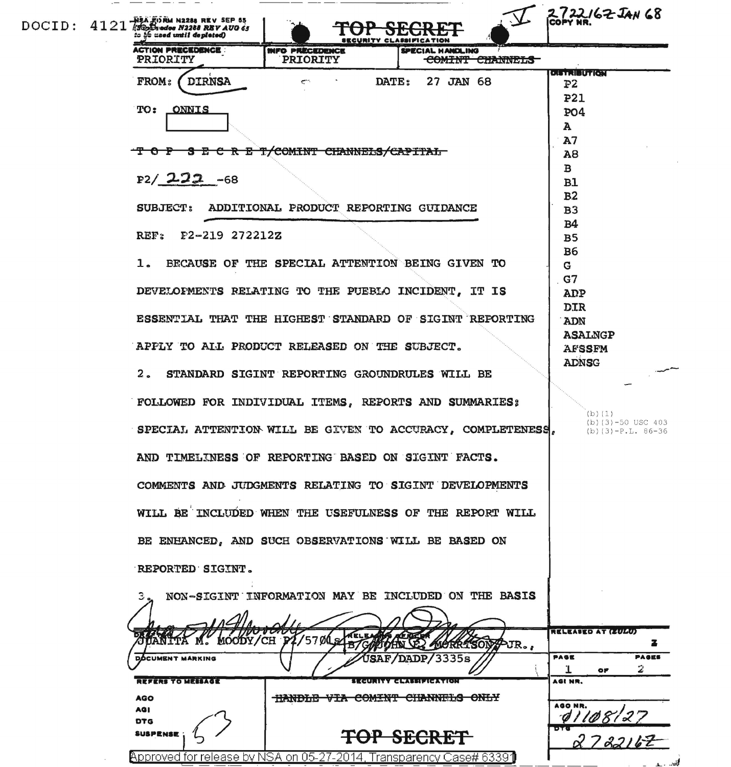|  |  | $\texttt{DOCID: } 4121$ $\frac{13450000}{130221}$ and $\texttt{N2208}$ REV AUG 63<br>to he used until depleted) |                                                     | <b>SECURITY CLASSIFICATION</b>                          | 2722162 JAN 68<br>ICOPY NR.             |
|--|--|-----------------------------------------------------------------------------------------------------------------|-----------------------------------------------------|---------------------------------------------------------|-----------------------------------------|
|  |  | <b>ACTION PRECEDENCE:</b><br>PRIORITY                                                                           | <b>INFO PRECEDENCE</b><br><b>PRIORITY</b>           | <b>SPECIAL HANDLING</b><br>COMINT CHANNELS              |                                         |
|  |  | <b>DIRNSA</b><br><b>FROM:</b>                                                                                   | ندمكم                                               | DATE: 27 JAN 68                                         | <b>DISTRIBUTION</b><br>P2<br><b>P21</b> |
|  |  | TO: ONNIS                                                                                                       |                                                     |                                                         | <b>PO4</b><br>A<br>A7                   |
|  |  | T O P S E C R E T/COMINT CHANNELS/CAPITAL<br>$P2/222 -68$                                                       | A8<br>$\mathbf{B}$<br>B1<br>B <sub>2</sub>          |                                                         |                                         |
|  |  |                                                                                                                 | SUBJECT: ADDITIONAL PRODUCT REPORTING GUIDANCE      |                                                         | B <sub>3</sub>                          |
|  |  | REF: F2-219 272212Z                                                                                             | B <sub>4</sub><br>B <sub>5</sub><br><b>B6</b>       |                                                         |                                         |
|  |  | $\mathbf{1}$ .                                                                                                  | BECAUSE OF THE SPECIAL ATTENTION BEING GIVEN TO     |                                                         | G<br>G7                                 |
|  |  |                                                                                                                 | DEVELOPMENTS RELATING TO THE PUEBLO INCIDENT, IT IS |                                                         | ADP                                     |
|  |  |                                                                                                                 |                                                     | ESSENTIAL THAT THE HIGHEST STANDARD OF SIGINT REPORTING | <b>DIR</b><br>ADN<br><b>ASALNGP</b>     |
|  |  |                                                                                                                 | APPLY TO ALL PRODUCT RELEASED ON THE SUBJECT.       |                                                         | <b>AFSSFM</b><br><b>ADNSG</b>           |
|  |  |                                                                                                                 | 2. STANDARD SIGINT REPORTING GROUNDRULES WILL BE    |                                                         |                                         |
|  |  | FOLLOWED FOR INDIVIDUAL ITEMS, REPORTS AND SUMMARIES;                                                           | (b)(1)<br>$(b)(3)-50$ USC 403                       |                                                         |                                         |
|  |  | SPECIAL ATTENTION WILL BE GIVEN TO ACCURACY, COMPLETENESS,                                                      | $(b)(3)-P.L. 86-36$                                 |                                                         |                                         |
|  |  | AND TIMELINESS OF REPORTING BASED ON SIGINT FACTS.                                                              |                                                     |                                                         |                                         |
|  |  | COMMENTS AND JUDGMENTS RELATING TO SIGINT DEVELOPMENTS                                                          |                                                     |                                                         |                                         |
|  |  | WILL BE INCLUDED WHEN THE USEFULNESS OF THE REPORT WILL                                                         |                                                     |                                                         |                                         |
|  |  | BE ENHANCED, AND SUCH OBSERVATIONS WILL BE BASED ON                                                             |                                                     |                                                         |                                         |
|  |  | REPORTED SIGINT.                                                                                                |                                                     |                                                         |                                         |
|  |  |                                                                                                                 |                                                     | NON-SIGINT INFORMATION MAY BE INCLUDED ON THE BASIS     |                                         |
|  |  | MOODY/CH                                                                                                        | '57Ø                                                | LORRISON PJR.,                                          | <b>RELEASED AT (ZULU)</b>               |
|  |  | <b>DOCUMENT MARKING</b>                                                                                         |                                                     | <b>DADP/3335s</b>                                       | <b>PAGES</b><br><b>PAGE</b><br>2<br>ОF  |
|  |  | <b>REFERS TO MESSAGE</b>                                                                                        |                                                     | <u> 1 kaun een algebruikt van die p</u>                 | AGI NR.                                 |
|  |  | <b>AGO</b><br>AG I<br><b>DTG</b>                                                                                | HANDLE VIA COMINT CHANNELS ONLY                     |                                                         | AGO NR.<br>01108127                     |
|  |  | <b>SUSPENSE</b>                                                                                                 |                                                     | <b>SECR</b>                                             |                                         |
|  |  | Approved for release by NSA on 05-27-2014, Transparency Case# 63391                                             |                                                     |                                                         |                                         |